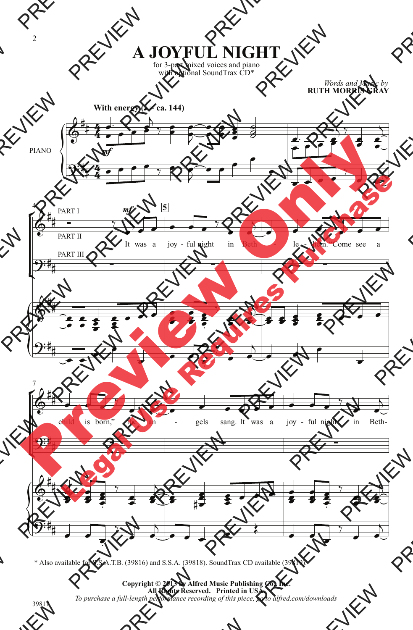**A JOYFUL NIGHT**

for 3-part mixed voices and piano with optional SoundTrax CD\*

*Words and Music by* **RUTH MORRIS GRAY**



\* Also available for S.S.A.T.B. (39816) and S.S.A. (39818). SoundTrax CD available (39819).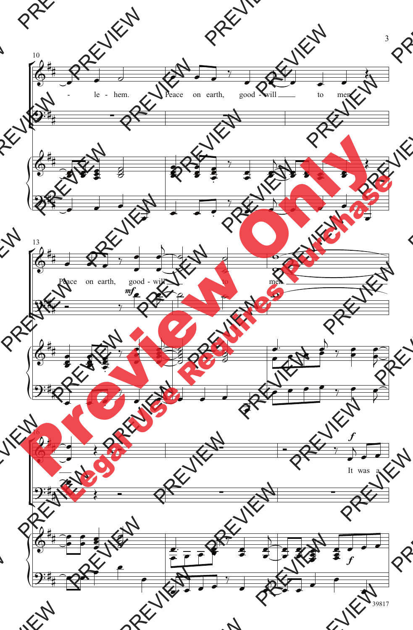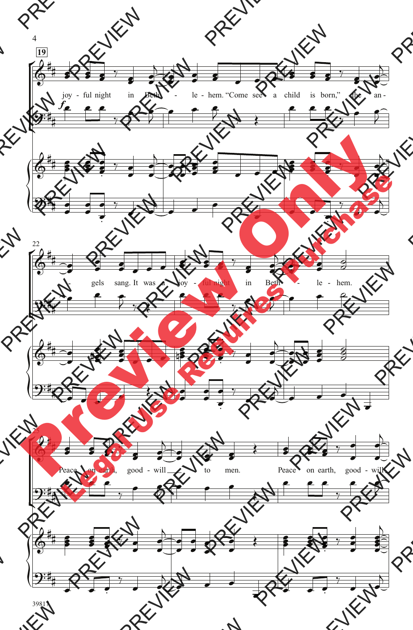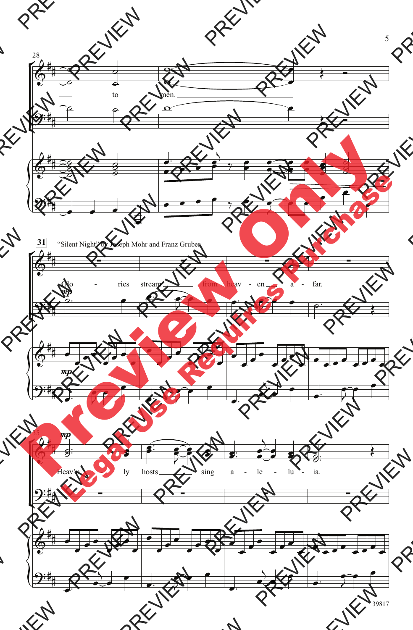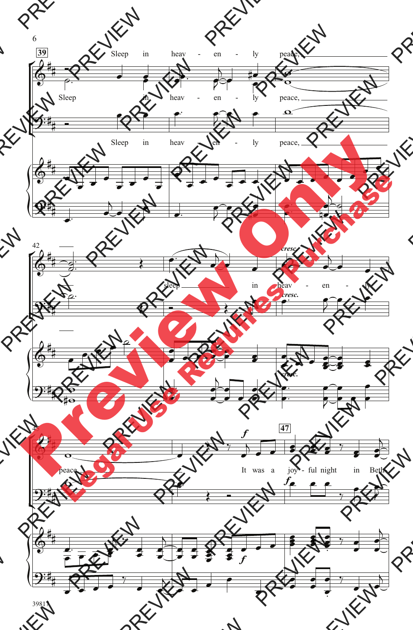

6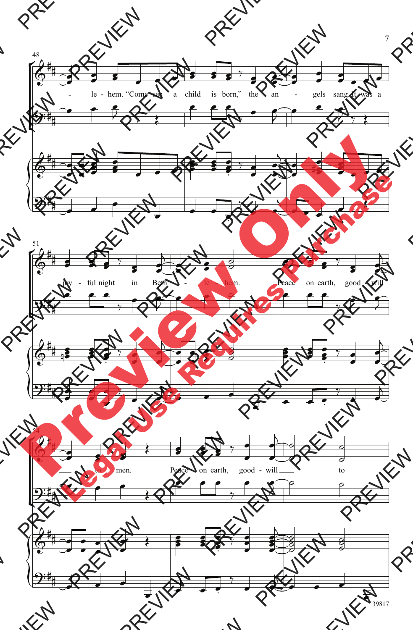

39817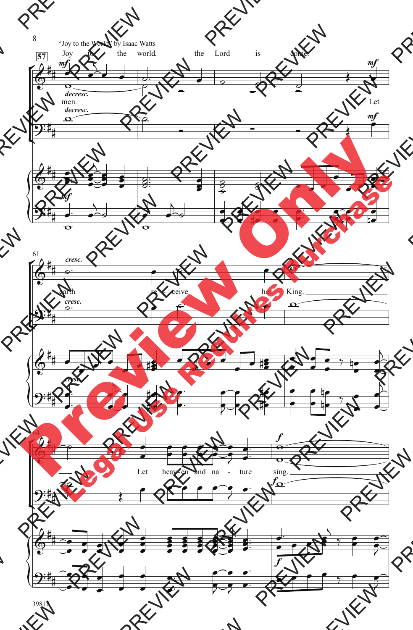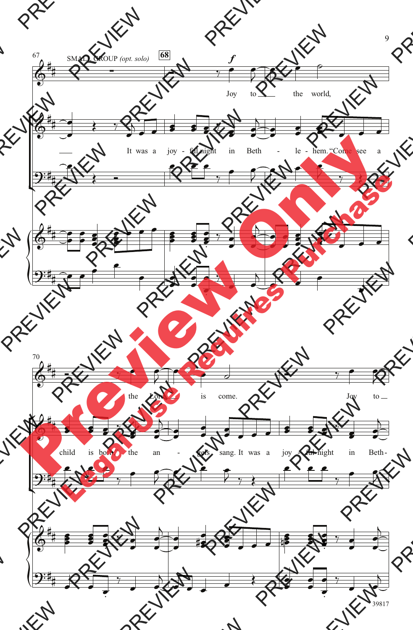

9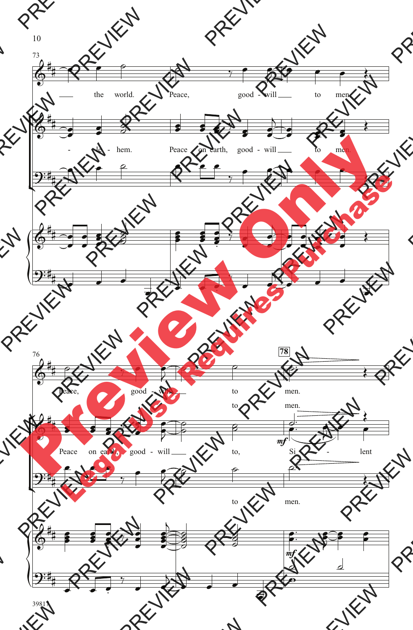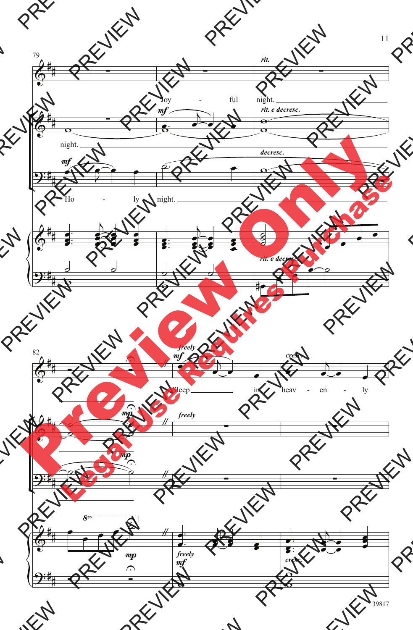